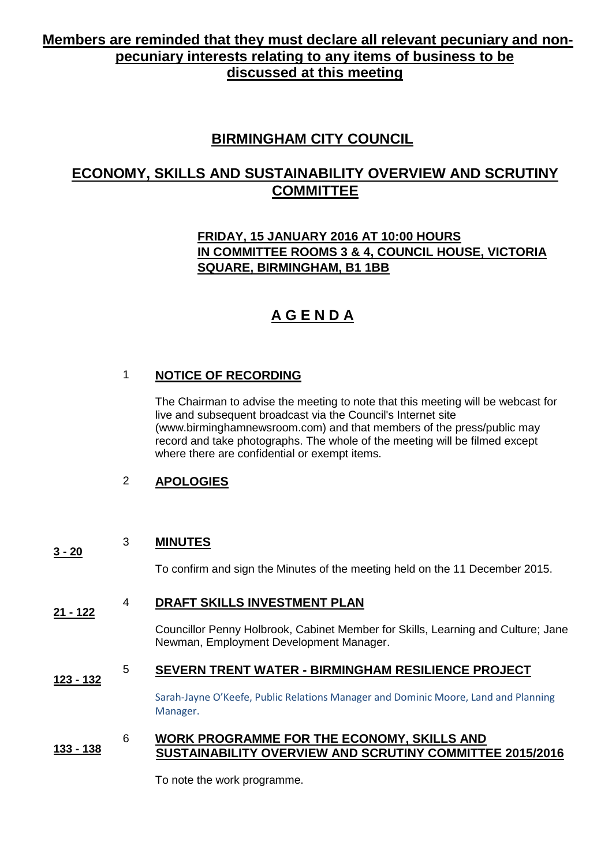# **Members are reminded that they must declare all relevant pecuniary and nonpecuniary interests relating to any items of business to be discussed at this meeting**

# **BIRMINGHAM CITY COUNCIL**

# **ECONOMY, SKILLS AND SUSTAINABILITY OVERVIEW AND SCRUTINY COMMITTEE**

# **FRIDAY, 15 JANUARY 2016 AT 10:00 HOURS IN COMMITTEE ROOMS 3 & 4, COUNCIL HOUSE, VICTORIA SQUARE, BIRMINGHAM, B1 1BB**

# **A G E N D A**

# 1 **NOTICE OF RECORDING**

The Chairman to advise the meeting to note that this meeting will be webcast for live and subsequent broadcast via the Council's Internet site (www.birminghamnewsroom.com) and that members of the press/public may record and take photographs. The whole of the meeting will be filmed except where there are confidential or exempt items.

## 2 **APOLOGIES**

#### **3 - 20** 3 **MINUTES**

To confirm and sign the Minutes of the meeting held on the 11 December 2015.

#### **21 - 122** 4 **DRAFT SKILLS INVESTMENT PLAN**

Councillor Penny Holbrook, Cabinet Member for Skills, Learning and Culture; Jane Newman, Employment Development Manager.

#### **123 - 132** 5 **SEVERN TRENT WATER - BIRMINGHAM RESILIENCE PROJECT**

Sarah-Jayne O'Keefe, Public Relations Manager and Dominic Moore, Land and Planning Manager.

#### **133 - 138** 6 **WORK PROGRAMME FOR THE ECONOMY, SKILLS AND SUSTAINABILITY OVERVIEW AND SCRUTINY COMMITTEE 2015/2016**

To note the work programme.